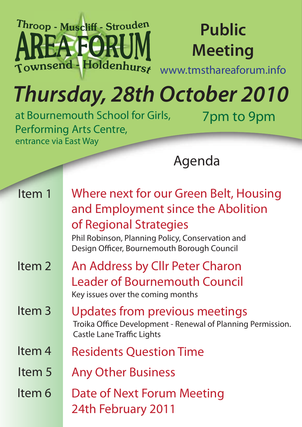#### Throop - Muscliff - Strouden AFORL Townsend - Holdenhurs

#### **Public Meeting**

www.tmsthareaforum.info

7pm to 9pm

## *Thursday, 28th October 2010*

at Bournemouth School for Girls, Performing Arts Centre, entrance via East Way

Agenda

| Item 1            | Where next for our Green Belt, Housing<br>and Employment since the Abolition<br>of Regional Strategies<br>Phil Robinson, Planning Policy, Conservation and<br>Design Officer, Bournemouth Borough Council |  |
|-------------------|-----------------------------------------------------------------------------------------------------------------------------------------------------------------------------------------------------------|--|
| Item <sub>2</sub> | An Address by Cllr Peter Charon<br><b>Leader of Bournemouth Council</b><br>Key issues over the coming months                                                                                              |  |
| Item <sub>3</sub> | Updates from previous meetings<br>Troika Office Development - Renewal of Planning Permission.<br><b>Castle Lane Traffic Lights</b>                                                                        |  |
| Item <sub>4</sub> | <b>Residents Question Time</b>                                                                                                                                                                            |  |
| Item 5            | <b>Any Other Business</b>                                                                                                                                                                                 |  |
| ltem 6            | Date of Next Forum Meeting<br>24th February 2011                                                                                                                                                          |  |